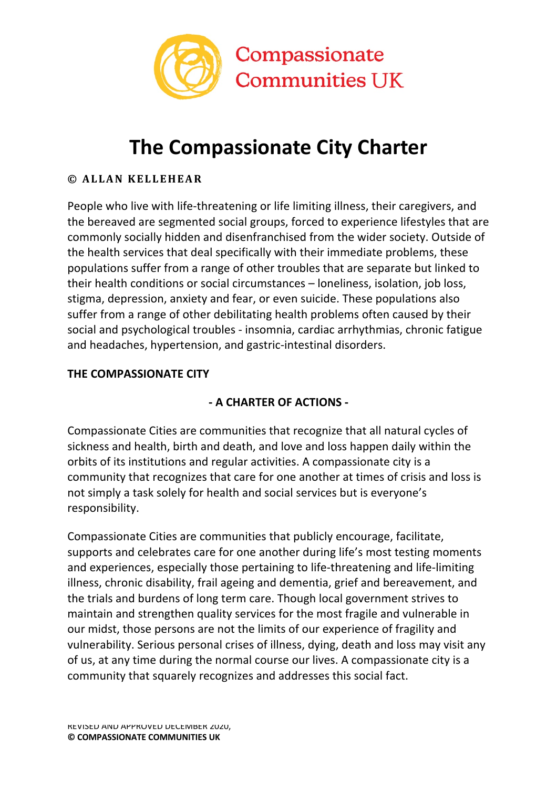

# **The Compassionate City Charter**

### **© ALLAN KELLEHEAR**

People who live with life-threatening or life limiting illness, their caregivers, and the bereaved are segmented social groups, forced to experience lifestyles that are commonly socially hidden and disenfranchised from the wider society. Outside of the health services that deal specifically with their immediate problems, these populations suffer from a range of other troubles that are separate but linked to their health conditions or social circumstances – loneliness, isolation, job loss, stigma, depression, anxiety and fear, or even suicide. These populations also suffer from a range of other debilitating health problems often caused by their social and psychological troubles - insomnia, cardiac arrhythmias, chronic fatigue and headaches, hypertension, and gastric-intestinal disorders.

#### **THE COMPASSIONATE CITY**

## **- A CHARTER OF ACTIONS -**

Compassionate Cities are communities that recognize that all natural cycles of sickness and health, birth and death, and love and loss happen daily within the orbits of its institutions and regular activities. A compassionate city is a community that recognizes that care for one another at times of crisis and loss is not simply a task solely for health and social services but is everyone's responsibility.

Compassionate Cities are communities that publicly encourage, facilitate, supports and celebrates care for one another during life's most testing moments and experiences, especially those pertaining to life-threatening and life-limiting illness, chronic disability, frail ageing and dementia, grief and bereavement, and the trials and burdens of long term care. Though local government strives to maintain and strengthen quality services for the most fragile and vulnerable in our midst, those persons are not the limits of our experience of fragility and vulnerability. Serious personal crises of illness, dying, death and loss may visit any of us, at any time during the normal course our lives. A compassionate city is a community that squarely recognizes and addresses this social fact.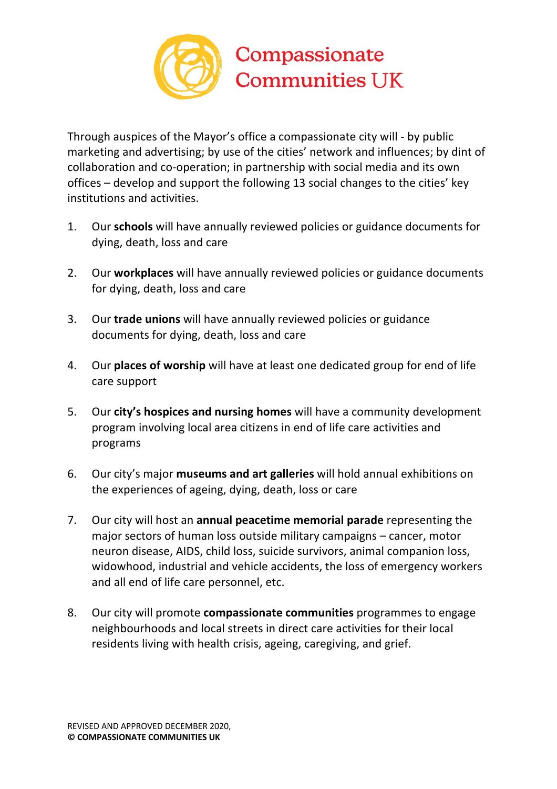

Through auspices of the Mayor's office a compassionate city will - by public marketing and advertising; by use of the cities' network and influences; by dint of collaboration and co-operation; in partnership with social media and its own offices – develop and support the following 13 social changes to the cities' key institutions and activities.

- 1. Our **schools** will have annually reviewed policies or guidance documents for dying, death, loss and care
- 2. Our **workplaces** will have annually reviewed policies or guidance documents for dying, death, loss and care
- 3. Our **trade unions** will have annually reviewed policies or guidance documents for dying, death, loss and care
- 4. Our **places of worship** will have at least one dedicated group for end of life care support
- 5. Our **city's hospices and nursing homes** will have a community development program involving local area citizens in end of life care activities and programs
- 6. Our city's major **museums and art galleries** will hold annual exhibitions on the experiences of ageing, dying, death, loss or care
- 7. Our city will host an **annual peacetime memorial parade** representing the major sectors of human loss outside military campaigns – cancer, motor neuron disease, AIDS, child loss, suicide survivors, animal companion loss, widowhood, industrial and vehicle accidents, the loss of emergency workers and all end of life care personnel, etc.
- 8. Our city will promote **compassionate communities** programmes to engage neighbourhoods and local streets in direct care activities for their local residents living with health crisis, ageing, caregiving, and grief.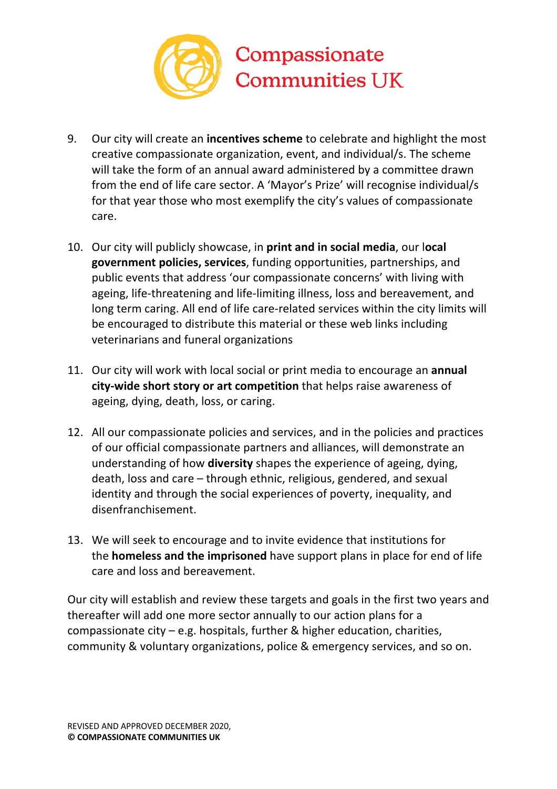

- 9. Our city will create an **incentives scheme** to celebrate and highlight the most creative compassionate organization, event, and individual/s. The scheme will take the form of an annual award administered by a committee drawn from the end of life care sector. A 'Mayor's Prize' will recognise individual/s for that year those who most exemplify the city's values of compassionate care.
- 10. Our city will publicly showcase, in **print and in social media**, our l**ocal government policies, services**, funding opportunities, partnerships, and public events that address 'our compassionate concerns' with living with ageing, life-threatening and life-limiting illness, loss and bereavement, and long term caring. All end of life care-related services within the city limits will be encouraged to distribute this material or these web links including veterinarians and funeral organizations
- 11. Our city will work with local social or print media to encourage an **annual city-wide short story or art competition** that helps raise awareness of ageing, dying, death, loss, or caring.
- 12. All our compassionate policies and services, and in the policies and practices of our official compassionate partners and alliances, will demonstrate an understanding of how **diversity** shapes the experience of ageing, dying, death, loss and care – through ethnic, religious, gendered, and sexual identity and through the social experiences of poverty, inequality, and disenfranchisement.
- 13. We will seek to encourage and to invite evidence that institutions for the **homeless and the imprisoned** have support plans in place for end of life care and loss and bereavement.

Our city will establish and review these targets and goals in the first two years and thereafter will add one more sector annually to our action plans for a compassionate city – e.g. hospitals, further & higher education, charities, community & voluntary organizations, police & emergency services, and so on.